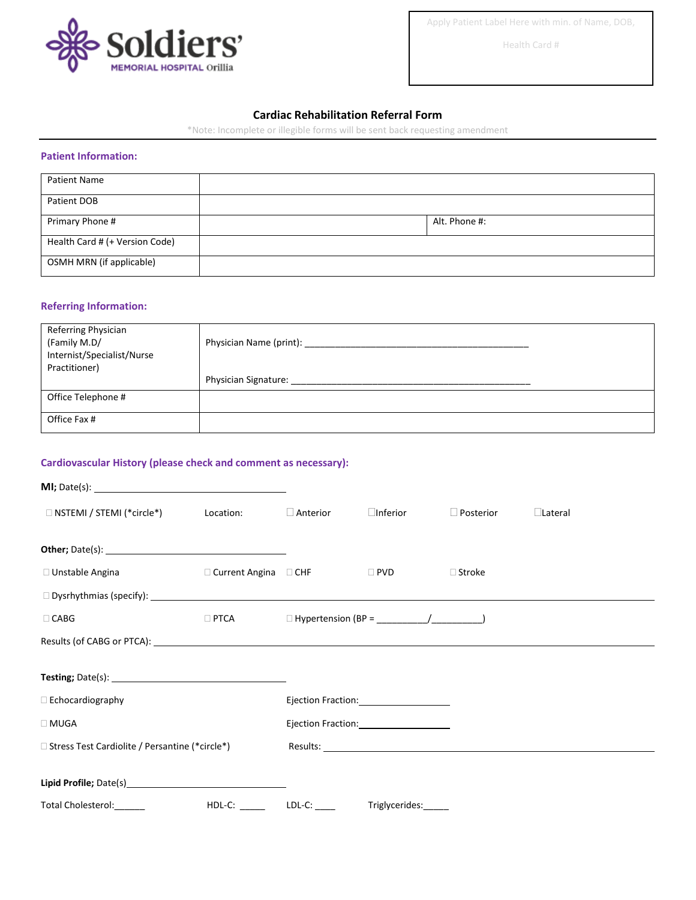

Apply Patient Label Here with min. of Name, DOB,

Health Card #

#### **Cardiac Rehabilitation Referral Form**

\*Note: Incomplete or illegible forms will be sent back requesting amendment

#### **Patient Information:**

| <b>Patient Name</b>            |               |
|--------------------------------|---------------|
| Patient DOB                    |               |
| Primary Phone #                | Alt. Phone #: |
| Health Card # (+ Version Code) |               |
| OSMH MRN (if applicable)       |               |

## **Referring Information:**

| Referring Physician<br>(Family M.D/<br>Internist/Specialist/Nurse<br>Practitioner) | Physician Name (print):     |
|------------------------------------------------------------------------------------|-----------------------------|
|                                                                                    | <b>Physician Signature:</b> |
| Office Telephone #                                                                 |                             |
| Office Fax #                                                                       |                             |

# **Cardiovascular History (please check and comment as necessary):**

| $\Box$ NSTEMI / STEMI (*circle*) $\qquad \qquad$ Location: |                        | $\Box$ Anterior                                                                                                                                                                                                                | $\Box$ Inferior                                 | $\Box$ Posterior | $\Box$ Lateral |  |
|------------------------------------------------------------|------------------------|--------------------------------------------------------------------------------------------------------------------------------------------------------------------------------------------------------------------------------|-------------------------------------------------|------------------|----------------|--|
|                                                            |                        |                                                                                                                                                                                                                                |                                                 |                  |                |  |
| $\Box$ Unstable Angina                                     | □ Current Angina □ CHF |                                                                                                                                                                                                                                | $\Box$ PVD                                      | $\Box$ Stroke    |                |  |
|                                                            |                        |                                                                                                                                                                                                                                |                                                 |                  |                |  |
| $\Box$ CABG                                                |                        |                                                                                                                                                                                                                                |                                                 |                  |                |  |
|                                                            |                        |                                                                                                                                                                                                                                |                                                 |                  |                |  |
|                                                            |                        |                                                                                                                                                                                                                                |                                                 |                  |                |  |
| $\Box$ Echocardiography                                    |                        |                                                                                                                                                                                                                                |                                                 |                  |                |  |
| $\Box$ MUGA                                                |                        |                                                                                                                                                                                                                                |                                                 |                  |                |  |
| □ Stress Test Cardiolite / Persantine (*circle*)           |                        | Results: The contract of the contract of the contract of the contract of the contract of the contract of the contract of the contract of the contract of the contract of the contract of the contract of the contract of the c |                                                 |                  |                |  |
|                                                            |                        |                                                                                                                                                                                                                                |                                                 |                  |                |  |
| Total Cholesterol:______                                   |                        |                                                                                                                                                                                                                                | HDL-C: _______ LDL-C: _____ Triglycerides:_____ |                  |                |  |